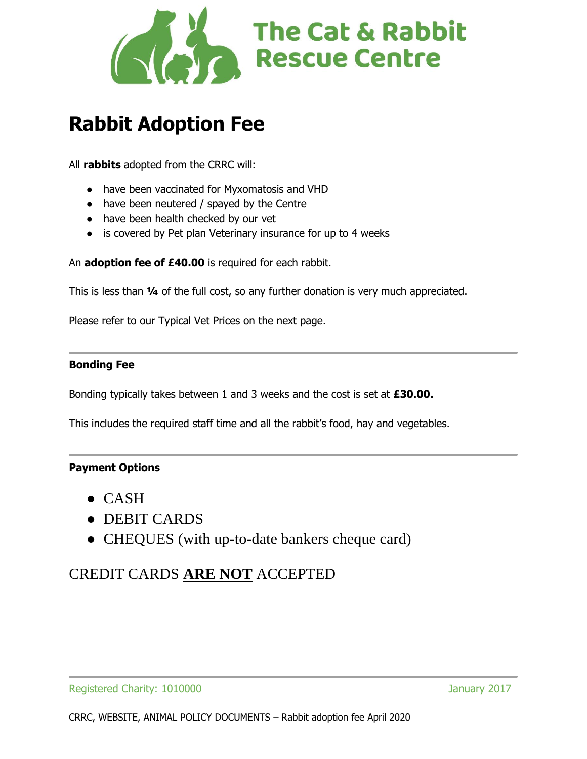

## **Rabbit Adoption Fee**

All **rabbits** adopted from the CRRC will:

- have been vaccinated for Myxomatosis and VHD
- have been neutered / spayed by the Centre
- have been health checked by our vet
- is covered by Pet plan Veterinary insurance for up to 4 weeks

An **adoption fee of £40.00** is required for each rabbit.

This is less than **¼** of the full cost, so any further donation is very much appreciated.

Please refer to our **Typical Vet Prices** on the next page.

#### **Bonding Fee**

Bonding typically takes between 1 and 3 weeks and the cost is set at **£30.00.**

This includes the required staff time and all the rabbit's food, hay and vegetables.

#### **Payment Options**

- $\bullet$  CASH
- DEBIT CARDS
- CHEQUES (with up-to-date bankers cheque card)

### CREDIT CARDS **ARE NOT** ACCEPTED

Registered Charity: 1010000 January 2017